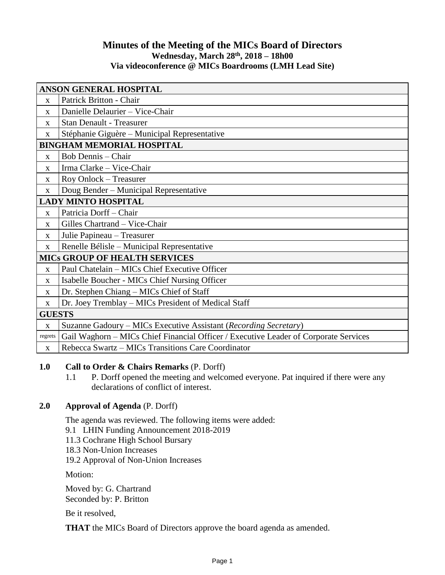# **Minutes of the Meeting of the MICs Board of Directors Wednesday, March 28 th, 2018 – 18h00 Via videoconference @ MICs Boardrooms (LMH Lead Site)**

| <b>ANSON GENERAL HOSPITAL</b>        |                                                                                      |
|--------------------------------------|--------------------------------------------------------------------------------------|
| $\mathbf{X}$                         | Patrick Britton - Chair                                                              |
| $\mathbf{X}$                         | Danielle Delaurier - Vice-Chair                                                      |
| $\mathbf{X}$                         | <b>Stan Denault - Treasurer</b>                                                      |
| X                                    | Stéphanie Giguère – Municipal Representative                                         |
| <b>BINGHAM MEMORIAL HOSPITAL</b>     |                                                                                      |
| $\mathbf{X}$                         | <b>Bob Dennis - Chair</b>                                                            |
| $\mathbf{x}$                         | Irma Clarke - Vice-Chair                                                             |
| X                                    | Roy Onlock – Treasurer                                                               |
| X                                    | Doug Bender - Municipal Representative                                               |
| <b>LADY MINTO HOSPITAL</b>           |                                                                                      |
| X                                    | Patricia Dorff-Chair                                                                 |
| X                                    | Gilles Chartrand - Vice-Chair                                                        |
| $\mathbf X$                          | Julie Papineau - Treasurer                                                           |
| X                                    | Renelle Bélisle – Municipal Representative                                           |
| <b>MICS GROUP OF HEALTH SERVICES</b> |                                                                                      |
| $\mathbf{x}$                         | Paul Chatelain – MICs Chief Executive Officer                                        |
| $\mathbf{X}$                         | Isabelle Boucher - MICs Chief Nursing Officer                                        |
| X                                    | Dr. Stephen Chiang – MICs Chief of Staff                                             |
| X                                    | Dr. Joey Tremblay - MICs President of Medical Staff                                  |
| <b>GUESTS</b>                        |                                                                                      |
| $\mathbf X$                          | Suzanne Gadoury – MICs Executive Assistant (Recording Secretary)                     |
| regrets                              | Gail Waghorn - MICs Chief Financial Officer / Executive Leader of Corporate Services |
| X                                    | Rebecca Swartz - MICs Transitions Care Coordinator                                   |

## **1.0 Call to Order & Chairs Remarks** (P. Dorff)

1.1 P. Dorff opened the meeting and welcomed everyone. Pat inquired if there were any declarations of conflict of interest.

# **2.0 Approval of Agenda** (P. Dorff)

The agenda was reviewed. The following items were added:

- 9.1 LHIN Funding Announcement 2018-2019
- 11.3 Cochrane High School Bursary
- 18.3 Non-Union Increases

19.2 Approval of Non-Union Increases

Motion:

Moved by: G. Chartrand Seconded by: P. Britton

Be it resolved,

**THAT** the MICs Board of Directors approve the board agenda as amended.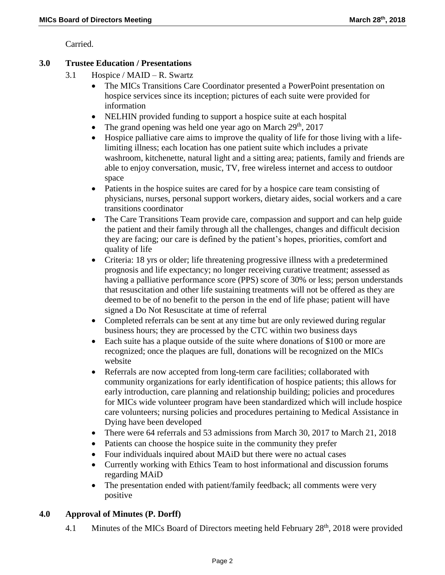Carried.

### **3.0 Trustee Education / Presentations**

- 3.1 Hospice / MAID R. Swartz
	- The MICs Transitions Care Coordinator presented a PowerPoint presentation on hospice services since its inception; pictures of each suite were provided for information
	- NELHIN provided funding to support a hospice suite at each hospital
	- The grand opening was held one year ago on March  $29<sup>th</sup>$ ,  $2017$
	- Hospice palliative care aims to improve the quality of life for those living with a lifelimiting illness; each location has one patient suite which includes a private washroom, kitchenette, natural light and a sitting area; patients, family and friends are able to enjoy conversation, music, TV, free wireless internet and access to outdoor space
	- Patients in the hospice suites are cared for by a hospice care team consisting of physicians, nurses, personal support workers, dietary aides, social workers and a care transitions coordinator
	- The Care Transitions Team provide care, compassion and support and can help guide the patient and their family through all the challenges, changes and difficult decision they are facing; our care is defined by the patient's hopes, priorities, comfort and quality of life
	- Criteria: 18 yrs or older; life threatening progressive illness with a predetermined prognosis and life expectancy; no longer receiving curative treatment; assessed as having a palliative performance score (PPS) score of 30% or less; person understands that resuscitation and other life sustaining treatments will not be offered as they are deemed to be of no benefit to the person in the end of life phase; patient will have signed a Do Not Resuscitate at time of referral
	- Completed referrals can be sent at any time but are only reviewed during regular business hours; they are processed by the CTC within two business days
	- Each suite has a plaque outside of the suite where donations of \$100 or more are recognized; once the plaques are full, donations will be recognized on the MICs website
	- Referrals are now accepted from long-term care facilities; collaborated with community organizations for early identification of hospice patients; this allows for early introduction, care planning and relationship building; policies and procedures for MICs wide volunteer program have been standardized which will include hospice care volunteers; nursing policies and procedures pertaining to Medical Assistance in Dying have been developed
	- There were 64 referrals and 53 admissions from March 30, 2017 to March 21, 2018
	- Patients can choose the hospice suite in the community they prefer
	- Four individuals inquired about MAiD but there were no actual cases
	- Currently working with Ethics Team to host informational and discussion forums regarding MAiD
	- The presentation ended with patient/family feedback; all comments were very positive

### **4.0 Approval of Minutes (P. Dorff)**

4.1 Minutes of the MICs Board of Directors meeting held February 28<sup>th</sup>, 2018 were provided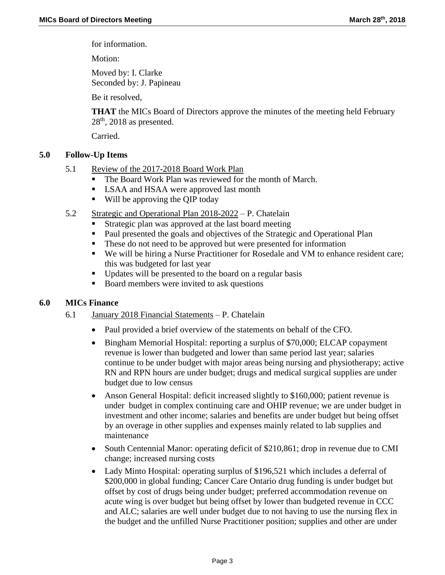for information.

Motion:

Moved by: I. Clarke Seconded by: J. Papineau

Be it resolved,

**THAT** the MICs Board of Directors approve the minutes of the meeting held February  $28<sup>th</sup>$ , 2018 as presented.

Carried.

## **5.0 Follow-Up Items**

- 5.1 Review of the 2017-2018 Board Work Plan
	- The Board Work Plan was reviewed for the month of March.
	- **LSAA** and HSAA were approved last month
	- Will be approving the QIP today
- 5.2 Strategic and Operational Plan 2018-2022 P. Chatelain
	- Strategic plan was approved at the last board meeting
	- Paul presented the goals and objectives of the Strategic and Operational Plan
	- These do not need to be approved but were presented for information
	- We will be hiring a Nurse Practitioner for Rosedale and VM to enhance resident care; this was budgeted for last year
	- Updates will be presented to the board on a regular basis
	- Board members were invited to ask questions

## **6.0 MICs Finance**

## 6.1 January 2018 Financial Statements – P. Chatelain

- Paul provided a brief overview of the statements on behalf of the CFO.
- Bingham Memorial Hospital: reporting a surplus of \$70,000; ELCAP copayment revenue is lower than budgeted and lower than same period last year; salaries continue to be under budget with major areas being nursing and physiotherapy; active RN and RPN hours are under budget; drugs and medical surgical supplies are under budget due to low census
- Anson General Hospital: deficit increased slightly to \$160,000; patient revenue is under budget in complex continuing care and OHIP revenue; we are under budget in investment and other income; salaries and benefits are under budget but being offset by an overage in other supplies and expenses mainly related to lab supplies and maintenance
- South Centennial Manor: operating deficit of \$210,861; drop in revenue due to CMI change; increased nursing costs
- Lady Minto Hospital: operating surplus of \$196,521 which includes a deferral of \$200,000 in global funding; Cancer Care Ontario drug funding is under budget but offset by cost of drugs being under budget; preferred accommodation revenue on acute wing is over budget but being offset by lower than budgeted revenue in CCC and ALC; salaries are well under budget due to not having to use the nursing flex in the budget and the unfilled Nurse Practitioner position; supplies and other are under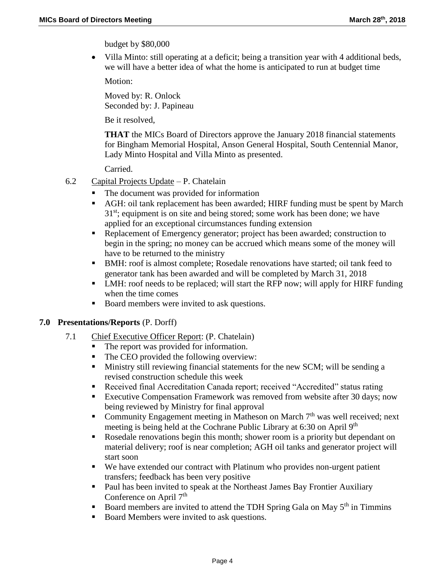budget by \$80,000

 Villa Minto: still operating at a deficit; being a transition year with 4 additional beds, we will have a better idea of what the home is anticipated to run at budget time

Motion:

Moved by: R. Onlock Seconded by: J. Papineau

Be it resolved,

**THAT** the MICs Board of Directors approve the January 2018 financial statements for Bingham Memorial Hospital, Anson General Hospital, South Centennial Manor, Lady Minto Hospital and Villa Minto as presented.

Carried.

- 6.2 Capital Projects Update P. Chatelain
	- The document was provided for information
	- AGH: oil tank replacement has been awarded; HIRF funding must be spent by March  $31<sup>st</sup>$ ; equipment is on site and being stored; some work has been done; we have applied for an exceptional circumstances funding extension
	- Replacement of Emergency generator; project has been awarded; construction to begin in the spring; no money can be accrued which means some of the money will have to be returned to the ministry
	- BMH: roof is almost complete; Rosedale renovations have started; oil tank feed to generator tank has been awarded and will be completed by March 31, 2018
	- LMH: roof needs to be replaced; will start the RFP now; will apply for HIRF funding when the time comes
	- Board members were invited to ask questions.

### **7.0 Presentations/Reports** (P. Dorff)

- 7.1 Chief Executive Officer Report: (P. Chatelain)
	- The report was provided for information.<br>■ The CEO provided the following overvier
	- The CEO provided the following overview:
	- **Ministry still reviewing financial statements for the new SCM; will be sending a** revised construction schedule this week
	- Received final Accreditation Canada report; received "Accredited" status rating
	- **Executive Compensation Framework was removed from website after 30 days; now** being reviewed by Ministry for final approval
	- Community Engagement meeting in Matheson on March  $7<sup>th</sup>$  was well received; next meeting is being held at the Cochrane Public Library at 6:30 on April 9<sup>th</sup>
	- Rosedale renovations begin this month; shower room is a priority but dependant on material delivery; roof is near completion; AGH oil tanks and generator project will start soon
	- We have extended our contract with Platinum who provides non-urgent patient transfers; feedback has been very positive
	- **Paul has been invited to speak at the Northeast James Bay Frontier Auxiliary** Conference on April 7<sup>th</sup>
	- Board members are invited to attend the TDH Spring Gala on May  $5<sup>th</sup>$  in Timmins
	- Board Members were invited to ask questions.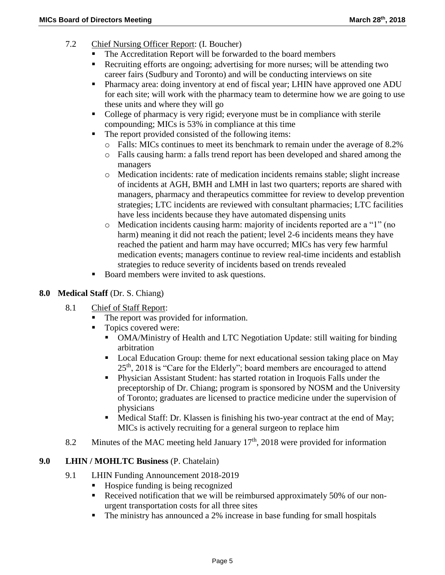- 7.2 Chief Nursing Officer Report: (I. Boucher)
	- The Accreditation Report will be forwarded to the board members
	- Recruiting efforts are ongoing; advertising for more nurses; will be attending two career fairs (Sudbury and Toronto) and will be conducting interviews on site
	- **Pharmacy area: doing inventory at end of fiscal year; LHIN have approved one ADU** for each site; will work with the pharmacy team to determine how we are going to use these units and where they will go
	- College of pharmacy is very rigid; everyone must be in compliance with sterile compounding; MICs is 53% in compliance at this time
	- The report provided consisted of the following items:
		- o Falls: MICs continues to meet its benchmark to remain under the average of 8.2%
		- o Falls causing harm: a falls trend report has been developed and shared among the managers
		- o Medication incidents: rate of medication incidents remains stable; slight increase of incidents at AGH, BMH and LMH in last two quarters; reports are shared with managers, pharmacy and therapeutics committee for review to develop prevention strategies; LTC incidents are reviewed with consultant pharmacies; LTC facilities have less incidents because they have automated dispensing units
		- o Medication incidents causing harm: majority of incidents reported are a "1" (no harm) meaning it did not reach the patient; level 2-6 incidents means they have reached the patient and harm may have occurred; MICs has very few harmful medication events; managers continue to review real-time incidents and establish strategies to reduce severity of incidents based on trends revealed
	- Board members were invited to ask questions.

### **8.0 Medical Staff** (Dr. S. Chiang)

- 8.1 Chief of Staff Report:
	- The report was provided for information.
	- Topics covered were:
		- OMA/Ministry of Health and LTC Negotiation Update: still waiting for binding arbitration
		- Local Education Group: theme for next educational session taking place on May 25<sup>th</sup>, 2018 is "Care for the Elderly"; board members are encouraged to attend
		- Physician Assistant Student: has started rotation in Iroquois Falls under the preceptorship of Dr. Chiang; program is sponsored by NOSM and the University of Toronto; graduates are licensed to practice medicine under the supervision of physicians
		- Medical Staff: Dr. Klassen is finishing his two-year contract at the end of May; MICs is actively recruiting for a general surgeon to replace him
- 8.2 Minutes of the MAC meeting held January  $17<sup>th</sup>$ , 2018 were provided for information

### **9.0 LHIN / MOHLTC Business** (P. Chatelain)

- 9.1 LHIN Funding Announcement 2018-2019
	- Hospice funding is being recognized
	- Received notification that we will be reimbursed approximately 50% of our nonurgent transportation costs for all three sites
	- The ministry has announced a 2% increase in base funding for small hospitals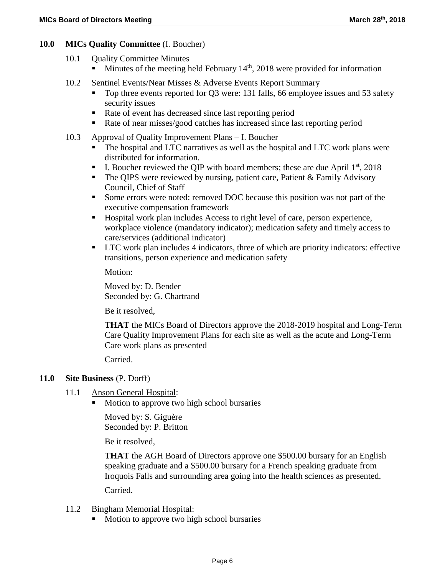### **10.0 MICs Quality Committee** (I. Boucher)

- 10.1 Quality Committee Minutes  $\blacksquare$  Minutes of the meeting held February 14<sup>th</sup>, 2018 were provided for information
- 10.2 Sentinel Events/Near Misses & Adverse Events Report Summary
	- Top three events reported for Q3 were: 131 falls, 66 employee issues and 53 safety security issues
	- Rate of event has decreased since last reporting period
	- Rate of near misses/good catches has increased since last reporting period
- 10.3 Approval of Quality Improvement Plans I. Boucher
	- The hospital and LTC narratives as well as the hospital and LTC work plans were distributed for information.
	- I. Boucher reviewed the QIP with board members; these are due April  $1<sup>st</sup>$ , 2018
	- The QIPS were reviewed by nursing, patient care, Patient  $& Family\ Advisory$ Council, Chief of Staff
	- Some errors were noted: removed DOC because this position was not part of the executive compensation framework
	- Hospital work plan includes Access to right level of care, person experience, workplace violence (mandatory indicator); medication safety and timely access to care/services (additional indicator)
	- LTC work plan includes 4 indicators, three of which are priority indicators: effective transitions, person experience and medication safety

Motion:

Moved by: D. Bender Seconded by: G. Chartrand

Be it resolved,

**THAT** the MICs Board of Directors approve the 2018-2019 hospital and Long-Term Care Quality Improvement Plans for each site as well as the acute and Long-Term Care work plans as presented

Carried.

### **11.0 Site Business** (P. Dorff)

- 11.1 Anson General Hospital:
	- Motion to approve two high school bursaries

Moved by: S. Giguère Seconded by: P. Britton

Be it resolved,

**THAT** the AGH Board of Directors approve one \$500.00 bursary for an English speaking graduate and a \$500.00 bursary for a French speaking graduate from Iroquois Falls and surrounding area going into the health sciences as presented.

Carried.

### 11.2 Bingham Memorial Hospital:

Motion to approve two high school bursaries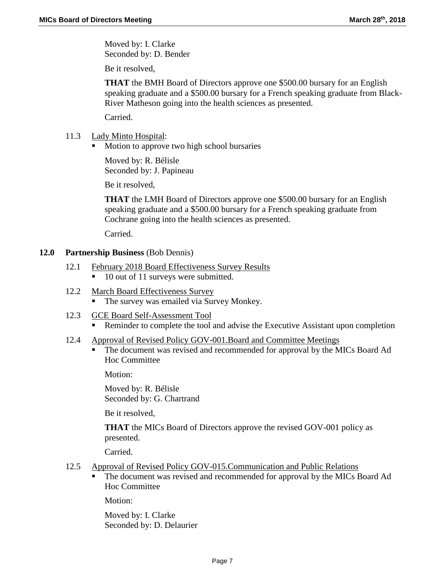Moved by: I. Clarke Seconded by: D. Bender

Be it resolved,

**THAT** the BMH Board of Directors approve one \$500.00 bursary for an English speaking graduate and a \$500.00 bursary for a French speaking graduate from Black-River Matheson going into the health sciences as presented.

Carried.

- 11.3 Lady Minto Hospital:
	- Motion to approve two high school bursaries

Moved by: R. Bélisle Seconded by: J. Papineau

Be it resolved,

**THAT** the LMH Board of Directors approve one \$500.00 bursary for an English speaking graduate and a \$500.00 bursary for a French speaking graduate from Cochrane going into the health sciences as presented.

Carried.

#### **12.0 Partnership Business** (Bob Dennis)

- 12.1 February 2018 Board Effectiveness Survey Results
	- 10 out of 11 surveys were submitted.
- 12.2 March Board Effectiveness Survey
	- The survey was emailed via Survey Monkey.
- 12.3 GCE Board Self-Assessment Tool
	- **Reminder to complete the tool and advise the Executive Assistant upon completion**
- 12.4 Approval of Revised Policy GOV-001.Board and Committee Meetings
	- The document was revised and recommended for approval by the MICs Board Ad Hoc Committee

Motion:

Moved by: R. Bélisle Seconded by: G. Chartrand

Be it resolved,

**THAT** the MICs Board of Directors approve the revised GOV-001 policy as presented.

Carried.

- 12.5 Approval of Revised Policy GOV-015.Communication and Public Relations
	- The document was revised and recommended for approval by the MICs Board Ad Hoc Committee

Motion:

Moved by: I. Clarke Seconded by: D. Delaurier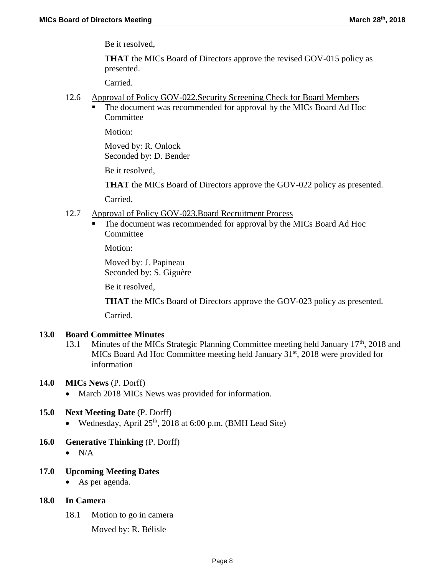Be it resolved,

**THAT** the MICs Board of Directors approve the revised GOV-015 policy as presented.

Carried.

- 12.6 Approval of Policy GOV-022.Security Screening Check for Board Members
	- The document was recommended for approval by the MICs Board Ad Hoc **Committee**

Motion:

Moved by: R. Onlock Seconded by: D. Bender

Be it resolved,

**THAT** the MICs Board of Directors approve the GOV-022 policy as presented.

Carried.

- 12.7 Approval of Policy GOV-023.Board Recruitment Process
	- The document was recommended for approval by the MICs Board Ad Hoc **Committee**

Motion:

Moved by: J. Papineau Seconded by: S. Giguère

Be it resolved,

**THAT** the MICs Board of Directors approve the GOV-023 policy as presented.

Carried.

#### **13.0 Board Committee Minutes**

- 13.1 Minutes of the MICs Strategic Planning Committee meeting held January  $17<sup>th</sup>$ , 2018 and MICs Board Ad Hoc Committee meeting held January  $31<sup>st</sup>$ , 2018 were provided for information
- **14.0 MICs News** (P. Dorff)
	- March 2018 MICs News was provided for information.

### **15.0 Next Meeting Date** (P. Dorff)

- Wednesday, April  $25<sup>th</sup>$ , 2018 at 6:00 p.m. (BMH Lead Site)
- **16.0 Generative Thinking** (P. Dorff)
	- $\bullet$  N/A
- **17.0 Upcoming Meeting Dates**
	- As per agenda.

### **18.0 In Camera**

- 18.1 Motion to go in camera
	- Moved by: R. Bélisle